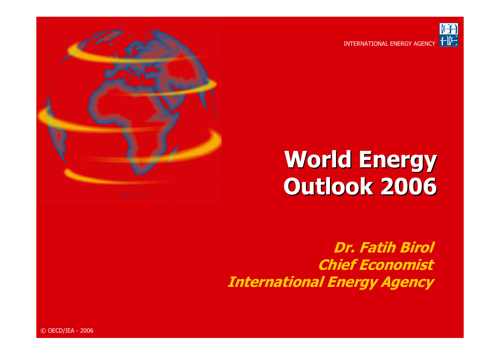

#### INTERNATIONAL ENERGY AGENCY



**Dr. Fatih Birol Chief Economist International Energy Agency**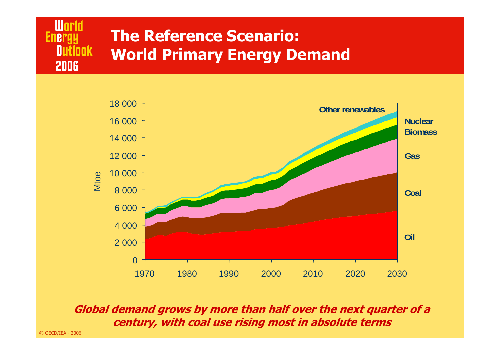



**Global demand grows by more than half over the next quarter of a century, with coal use rising most in absolute terms**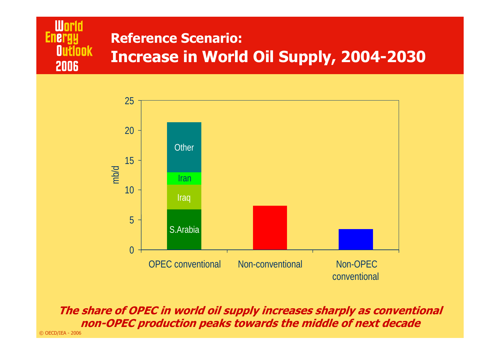#### **World Energy Reference Scenario:Outlook Increase in World Oil Supply, 2004-2030** 2006



**The share of OPEC in world oil supply increases sharply as conventional non-OPEC production peaks towards the middle of next decade**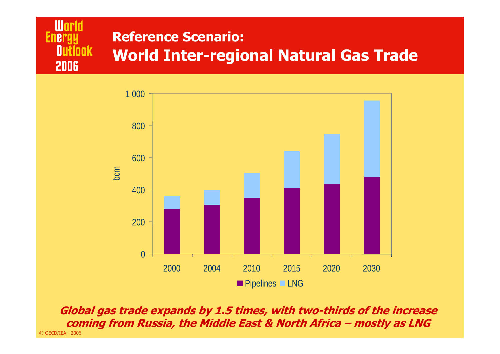



© OECD/IEA - 2006 **Global gas trade expands by 1.5 times, with two-thirds of the increase coming from Russia, the Middle East & North Africa – mostly as LNG**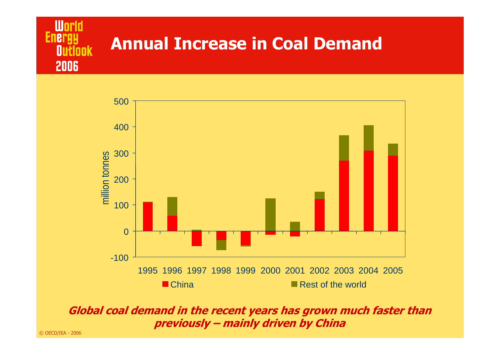



#### **Global coal demand in the recent years has grown much faster than previously – mainly driven by China**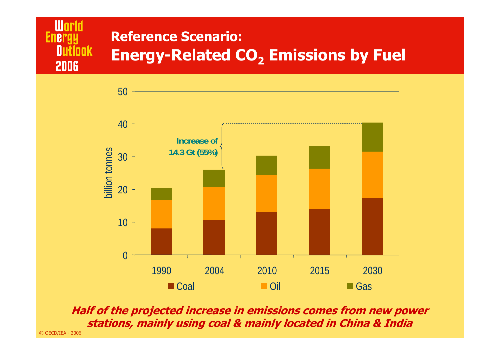#### **World Reference Scenario: Energy Outlook Energy-Related CO2 Emissions by Fuel** 2006



**Half of the projected increase in emissions comes from new power stations, mainly using coal & mainly located in China & India**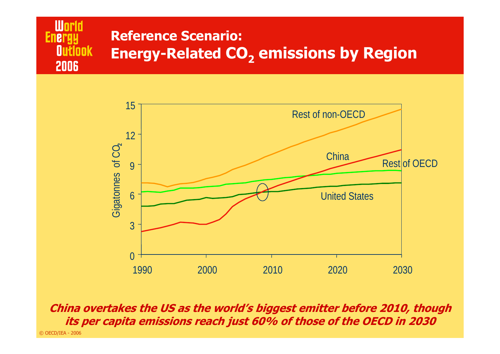#### **World Reference Scenario: Energy Outlook Energy-Related CO<sub>2</sub> emissions by Region** 2006



© OECD/IEA - 2006 **China overtakes the US as the world's biggest emitter before 2010, though its per capita emissions reach just 60% of those of the OECD in 2030**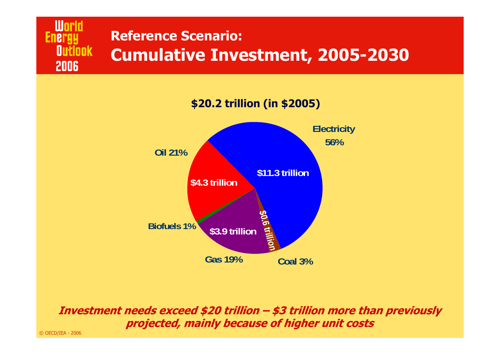### **Reference Scenario: Outlook Cumulative Investment, 2005-2030**



**Investment needs exceed \$20 trillion – \$3 trillion more than previously projected, mainly because of higher unit costs**

© OECD/IEA - 2006

**World** 

2006

**Energy**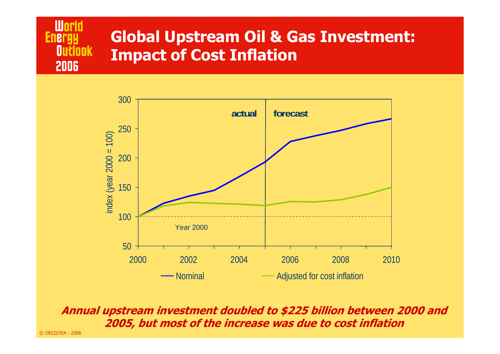

### **Global Upstream Oil & Gas Investment: Impact of Cost Inflation**



**Annual upstream investment doubled to \$225 billion between 2000 and 2005, but most of the increase was due to cost inflation**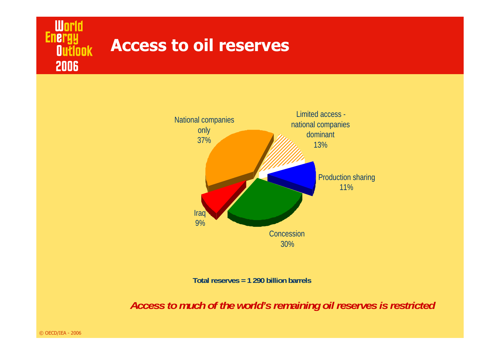#### **Access to oil reservesOutlook**



**Total reserves = 1 290 billion barrels**

*Access to much of the world's remaining oil reserves is restricted*

© OECD/IEA - 2006

**World**<br>Energy

2006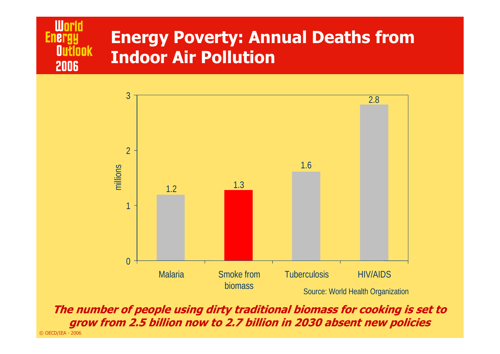### **World Energy Outlook** 2006

## **Energy Poverty: Annual Deaths from Indoor Air Pollution**



© OECD/IEA - 2006 **The number of people using dirty traditional biomass for cooking is set to grow from 2.5 billion now to 2.7 billion in 2030 absent new policies**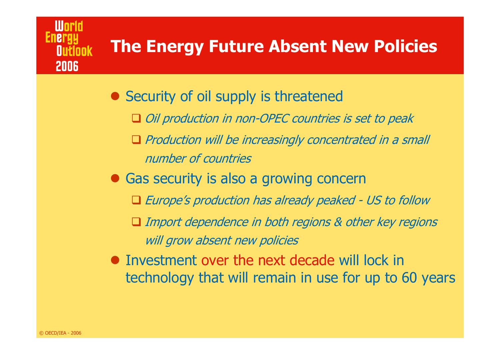# **The Energy Future Absent New Policies**

- Security of oil supply is threatened
	- Oil production in non-OPEC countries is set to peak
	- $\Box$  Production will be increasingly concentrated in a small number of countries
- Gas security is also a growing concern
	- Europe's production has already peaked US to follow
	- Import dependence in both regions & other key regions will grow absent new policies
- Investment over the next decade will lock in technology that will remain in use for up to 60 years

2006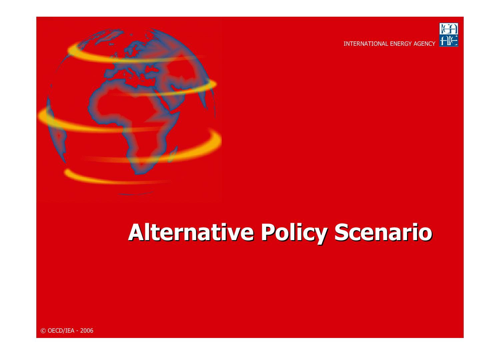



# **Alternative Policy Scenario**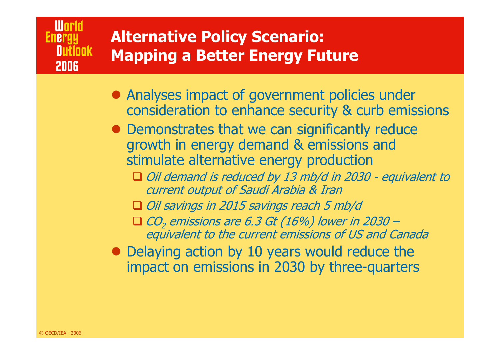# **Alternative Policy Scenario: Mapping a Better Energy Future**

- Analyses impact of government policies under consideration to enhance security & curb emissions
- Demonstrates that we can significantly reduce growth in energy demand & emissions and stimulate alternative energy production
	- Oil demand is reduced by 13 mb/d in 2030 equivalent to current output of Saudi Arabia & Iran
	- Oil savings in 2015 savings reach 5 mb/d
	- $\Box$  CO<sub>2</sub> emissions are 6.3 Gt (16%) lower in 2030 equivalent to the current emissions of US and Canada
- Delaying action by 10 years would reduce the impact on emissions in 2030 by three-quarters

**World** 

**2006** 

**Nutionk** 

**Energi**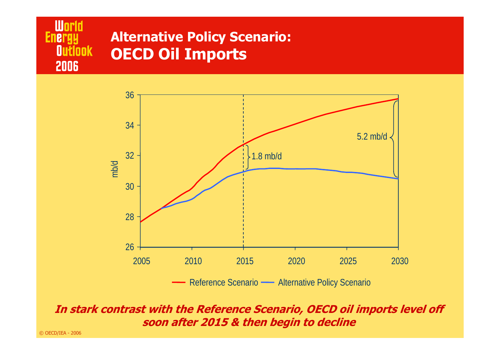#### **World Alternative Policy Scenario: Energy Outlook OECD Oil Imports** 2006



#### **In stark contrast with the Reference Scenario, OECD oil imports level off soon after 2015 & then begin to decline**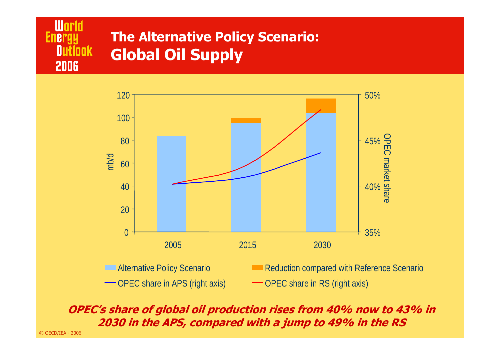### **The Alternative Policy Scenario: Global Oil Supply**



**OPEC's share of global oil production rises from 40% now to 43% in 2030 in the APS, compared with a jump to 49% in the RS**

© OECD/IEA - 2006

**World** 

2006

**Outlook** 

**Energy**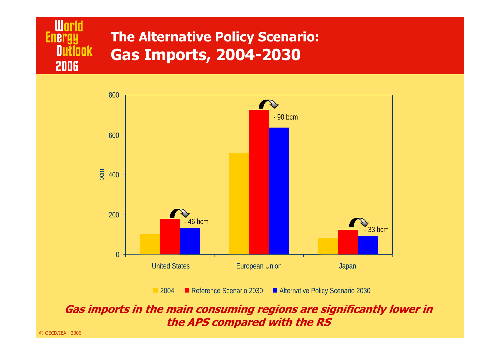



2004Reference Scenario 2030 **Alternative Policy Scenario 2030** 

**Gas imports in the main consuming regions are significantly lower in the APS compared with the RS**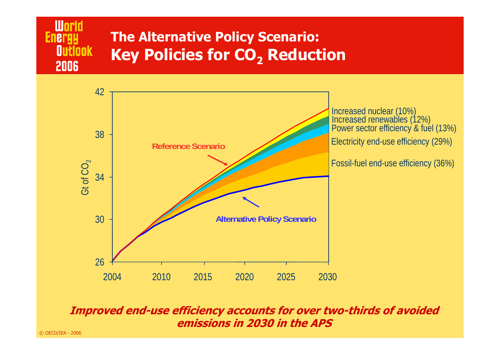# **The Alternative Policy Scenario: Key Policies for CO<sub>2</sub> Reduction**



#### **Improved end-use efficiency accounts for over two-thirds of avoided emissions in 2030 in the APS**

**World** 

2006

**Outlook** 

**Energy**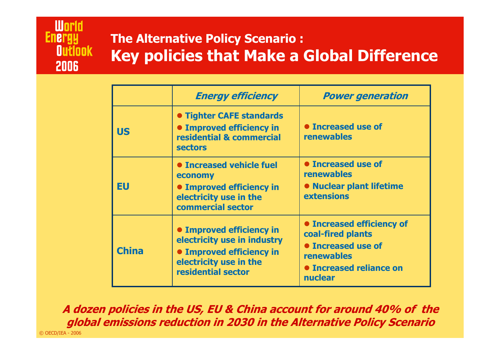### **World Energy Outlook** 2006

### **The Alternative Policy Scenario : Key policies that Make a Global Difference**

|              | <b>Energy efficiency</b>                                                                                                                   | <b>Power generation</b>                                                                                                                              |
|--------------|--------------------------------------------------------------------------------------------------------------------------------------------|------------------------------------------------------------------------------------------------------------------------------------------------------|
| <b>US</b>    | <b>• Tighter CAFE standards</b><br>• Improved efficiency in<br>residential & commercial<br><b>sectors</b>                                  | <b>• Increased use of</b><br><b>renewables</b>                                                                                                       |
| EU           | <b>• Increased vehicle fuel</b><br>economy<br>• Improved efficiency in<br>electricity use in the<br>commercial sector                      | <b>• Increased use of</b><br>renewables<br><b>• Nuclear plant lifetime</b><br><b>extensions</b>                                                      |
| <b>China</b> | • Improved efficiency in<br>electricity use in industry<br><b>• Improved efficiency in</b><br>electricity use in the<br>residential sector | <b>• Increased efficiency of</b><br>coal-fired plants<br><b>• Increased use of</b><br><b>renewables</b><br><b>• Increased reliance on</b><br>nuclear |

© OECD/IEA - 2006 **A dozen policies in the US, EU & China account for around 40% of the global emissions reduction in 2030 in the Alternative Policy Scenario**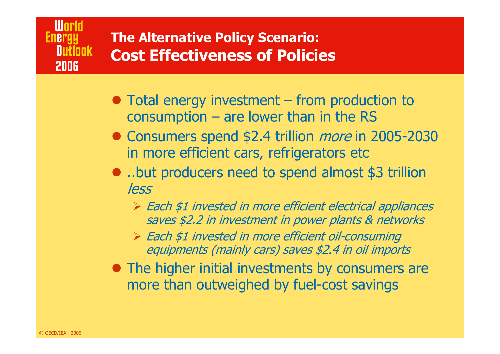### World **Energ** Nuflook 2006

### **The Alternative Policy Scenario: Cost Effectiveness of Policies**

- $\bullet$  Total energy investment from production to consumption – are lower than in the RS
- Consumers spend \$2.4 trillion *more* in 2005-2030 in more efficient cars, refrigerators etc
- ..but producers need to spend almost \$3 trillion less
	- ¾ Each \$1 invested in more efficient electrical appliances saves \$2.2 in investment in power plants & networks
	- ¾ Each \$1 invested in more efficient oil-consuming equipments (mainly cars) saves \$2.4 in oil imports
- The higher initial investments by consumers are more than outweighed by fuel-cost savings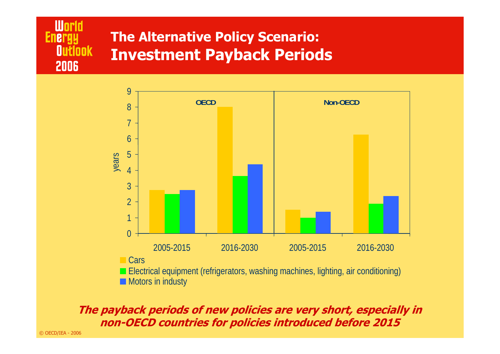### **The Alternative Policy Scenario: Investment Payback Periods**



#### **The payback periods of new policies are very short, especially in non-OECD countries for policies introduced before 2015**

© OECD/IEA - 2006

**World** 

2006

**Outlook** 

**Energy**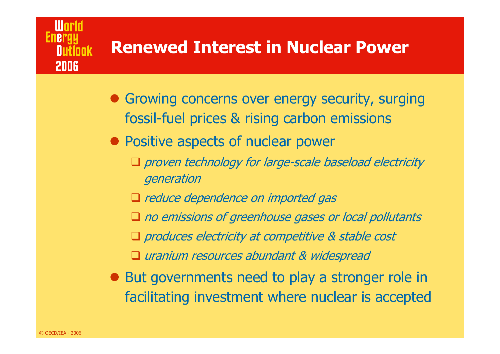# **Renewed Interest in Nuclear Power**

- Growing concerns over energy security, surging fossil-fuel prices & rising carbon emissions
- Positive aspects of nuclear power
	- proven technology for large-scale baseload electricity generation
	- Q reduce dependence on imported gas
	- $\square$  no emissions of greenhouse gases or local pollutants
	- **Q** produces electricity at competitive & stable cost
	- uranium resources abundant & widespread
- $\bullet$  But governments need to play a stronger role in facilitating investment where nuclear is accepted

2006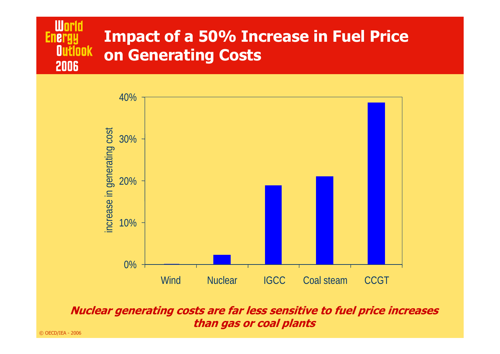#### **World Impact of a 50% Increase in Fuel Price Energy Outlook on Generating Costs** 2006



**Nuclear generating costs are far less sensitive to fuel price increases than gas or coal plants**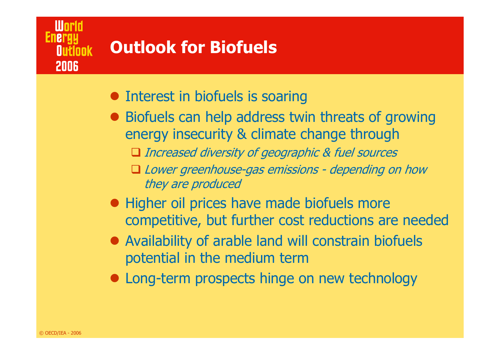# **Outlook for Biofuels**

- Interest in biofuels is soaring
- Biofuels can help address twin threats of growing energy insecurity & climate change through
	- Increased diversity of geographic & fuel sources
	- Lower greenhouse-gas emissions depending on how they are produced
- Higher oil prices have made biofuels more competitive, but further cost reductions are needed
- Availability of arable land will constrain biofuels potential in the medium term
- Long-term prospects hinge on new technology

iłlonk.

**2006**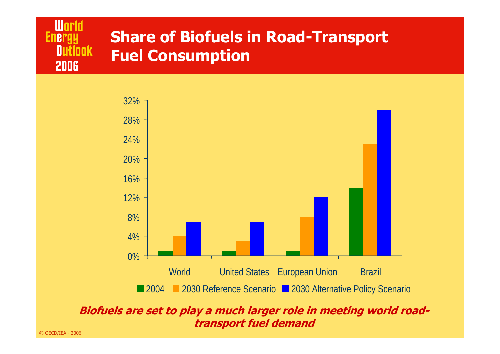



### **Biofuels are set to play a much larger role in meeting world roadtransport fuel demand**